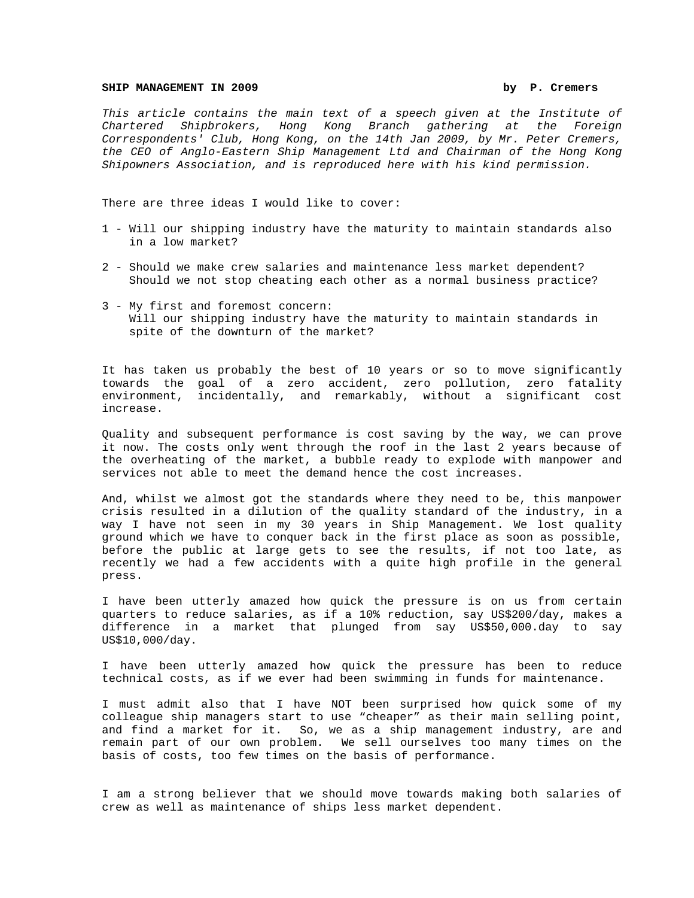## SHIP MANAGEMENT IN 2009 **by P. Cremers**

*This article contains the main text of a speech given at the Institute of Chartered Shipbrokers, Hong Kong Branch gathering at the Foreign Correspondents' Club, Hong Kong, on the 14th Jan 2009, by Mr. Peter Cremers, the CEO of Anglo-Eastern Ship Management Ltd and Chairman of the Hong Kong Shipowners Association, and is reproduced here with his kind permission.* 

There are three ideas I would like to cover:

- 1 Will our shipping industry have the maturity to maintain standards also in a low market?
- 2 Should we make crew salaries and maintenance less market dependent? Should we not stop cheating each other as a normal business practice?
- 3 My first and foremost concern: Will our shipping industry have the maturity to maintain standards in spite of the downturn of the market?

It has taken us probably the best of 10 years or so to move significantly towards the goal of a zero accident, zero pollution, zero fatality environment, incidentally, and remarkably, without a significant cost increase.

Quality and subsequent performance is cost saving by the way, we can prove it now. The costs only went through the roof in the last 2 years because of the overheating of the market, a bubble ready to explode with manpower and services not able to meet the demand hence the cost increases.

And, whilst we almost got the standards where they need to be, this manpower crisis resulted in a dilution of the quality standard of the industry, in a way I have not seen in my 30 years in Ship Management. We lost quality ground which we have to conquer back in the first place as soon as possible, before the public at large gets to see the results, if not too late, as recently we had a few accidents with a quite high profile in the general press.

I have been utterly amazed how quick the pressure is on us from certain quarters to reduce salaries, as if a 10% reduction, say US\$200/day, makes a difference in a market that plunged from say US\$50,000.day to say US\$10,000/day.

I have been utterly amazed how quick the pressure has been to reduce technical costs, as if we ever had been swimming in funds for maintenance.

I must admit also that I have NOT been surprised how quick some of my colleague ship managers start to use "cheaper" as their main selling point, and find a market for it. So, we as a ship management industry, are and remain part of our own problem. We sell ourselves too many times on the basis of costs, too few times on the basis of performance.

I am a strong believer that we should move towards making both salaries of crew as well as maintenance of ships less market dependent.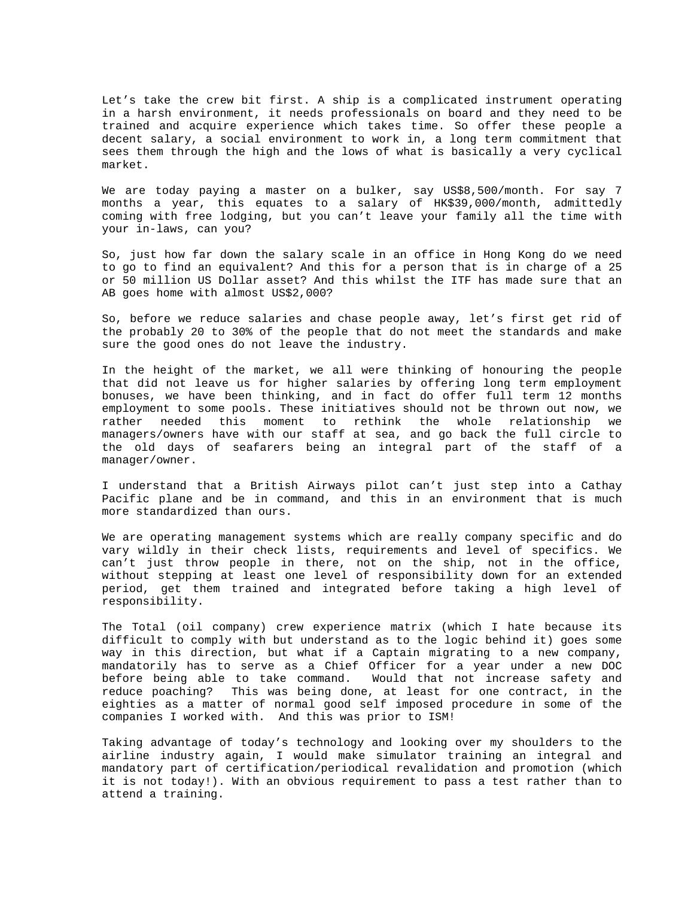Let's take the crew bit first. A ship is a complicated instrument operating in a harsh environment, it needs professionals on board and they need to be trained and acquire experience which takes time. So offer these people a decent salary, a social environment to work in, a long term commitment that sees them through the high and the lows of what is basically a very cyclical market.

We are today paying a master on a bulker, say US\$8,500/month. For say 7 months a year, this equates to a salary of HK\$39,000/month, admittedly coming with free lodging, but you can't leave your family all the time with your in-laws, can you?

So, just how far down the salary scale in an office in Hong Kong do we need to go to find an equivalent? And this for a person that is in charge of a 25 or 50 million US Dollar asset? And this whilst the ITF has made sure that an AB goes home with almost US\$2,000?

So, before we reduce salaries and chase people away, let's first get rid of the probably 20 to 30% of the people that do not meet the standards and make sure the good ones do not leave the industry.

In the height of the market, we all were thinking of honouring the people that did not leave us for higher salaries by offering long term employment bonuses, we have been thinking, and in fact do offer full term 12 months employment to some pools. These initiatives should not be thrown out now, we rather needed this moment to rethink the whole relationship we managers/owners have with our staff at sea, and go back the full circle to the old days of seafarers being an integral part of the staff of a manager/owner.

I understand that a British Airways pilot can't just step into a Cathay Pacific plane and be in command, and this in an environment that is much more standardized than ours.

We are operating management systems which are really company specific and do vary wildly in their check lists, requirements and level of specifics. We can't just throw people in there, not on the ship, not in the office, without stepping at least one level of responsibility down for an extended period, get them trained and integrated before taking a high level of responsibility.

The Total (oil company) crew experience matrix (which I hate because its difficult to comply with but understand as to the logic behind it) goes some way in this direction, but what if a Captain migrating to a new company, mandatorily has to serve as a Chief Officer for a year under a new DOC before being able to take command. Would that not increase safety and reduce poaching? This was being done, at least for one contract, in the eighties as a matter of normal good self imposed procedure in some of the companies I worked with. And this was prior to ISM!

Taking advantage of today's technology and looking over my shoulders to the airline industry again, I would make simulator training an integral and mandatory part of certification/periodical revalidation and promotion (which it is not today!). With an obvious requirement to pass a test rather than to attend a training.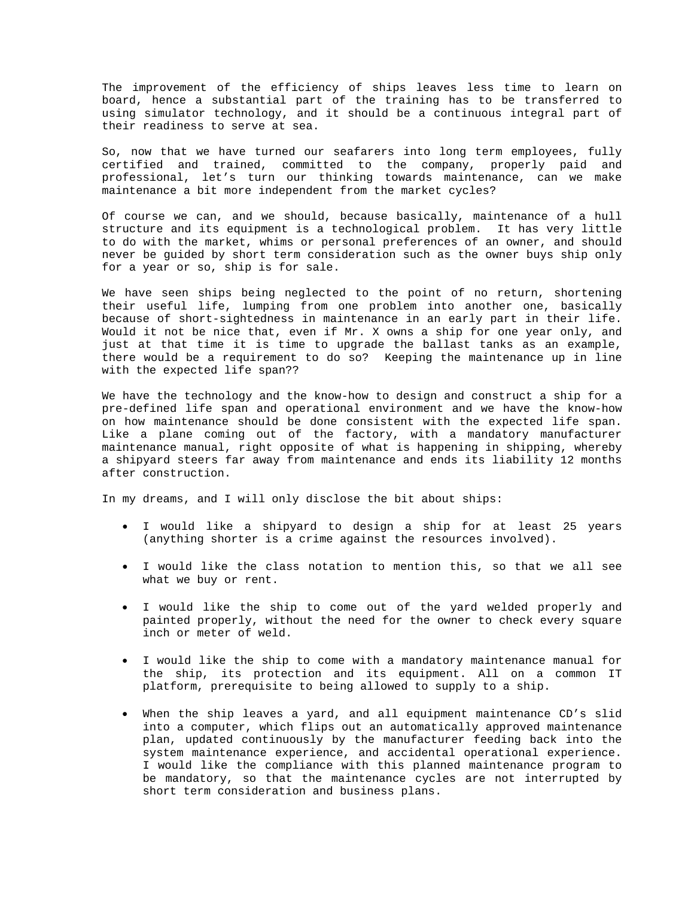The improvement of the efficiency of ships leaves less time to learn on board, hence a substantial part of the training has to be transferred to using simulator technology, and it should be a continuous integral part of their readiness to serve at sea.

So, now that we have turned our seafarers into long term employees, fully certified and trained, committed to the company, properly paid and professional, let's turn our thinking towards maintenance, can we make maintenance a bit more independent from the market cycles?

Of course we can, and we should, because basically, maintenance of a hull structure and its equipment is a technological problem. It has very little to do with the market, whims or personal preferences of an owner, and should never be guided by short term consideration such as the owner buys ship only for a year or so, ship is for sale.

We have seen ships being neglected to the point of no return, shortening their useful life, lumping from one problem into another one, basically because of short-sightedness in maintenance in an early part in their life. Would it not be nice that, even if Mr. X owns a ship for one year only, and just at that time it is time to upgrade the ballast tanks as an example, there would be a requirement to do so? Keeping the maintenance up in line with the expected life span??

We have the technology and the know-how to design and construct a ship for a pre-defined life span and operational environment and we have the know-how on how maintenance should be done consistent with the expected life span. Like a plane coming out of the factory, with a mandatory manufacturer maintenance manual, right opposite of what is happening in shipping, whereby a shipyard steers far away from maintenance and ends its liability 12 months after construction.

In my dreams, and I will only disclose the bit about ships:

- I would like a shipyard to design a ship for at least 25 years (anything shorter is a crime against the resources involved).
- I would like the class notation to mention this, so that we all see what we buy or rent.
- I would like the ship to come out of the yard welded properly and painted properly, without the need for the owner to check every square inch or meter of weld.
- I would like the ship to come with a mandatory maintenance manual for the ship, its protection and its equipment. All on a common IT platform, prerequisite to being allowed to supply to a ship.
- When the ship leaves a yard, and all equipment maintenance CD's slid into a computer, which flips out an automatically approved maintenance plan, updated continuously by the manufacturer feeding back into the system maintenance experience, and accidental operational experience. I would like the compliance with this planned maintenance program to be mandatory, so that the maintenance cycles are not interrupted by short term consideration and business plans.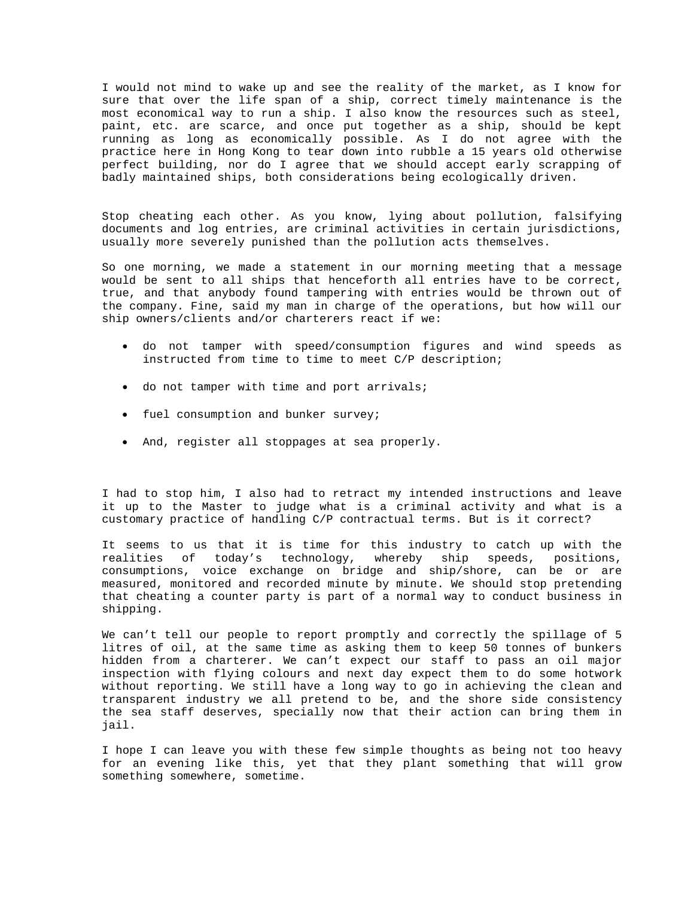I would not mind to wake up and see the reality of the market, as I know for sure that over the life span of a ship, correct timely maintenance is the most economical way to run a ship. I also know the resources such as steel, paint, etc. are scarce, and once put together as a ship, should be kept running as long as economically possible. As I do not agree with the practice here in Hong Kong to tear down into rubble a 15 years old otherwise perfect building, nor do I agree that we should accept early scrapping of badly maintained ships, both considerations being ecologically driven.

Stop cheating each other. As you know, lying about pollution, falsifying documents and log entries, are criminal activities in certain jurisdictions, usually more severely punished than the pollution acts themselves.

So one morning, we made a statement in our morning meeting that a message would be sent to all ships that henceforth all entries have to be correct, true, and that anybody found tampering with entries would be thrown out of the company. Fine, said my man in charge of the operations, but how will our ship owners/clients and/or charterers react if we:

- do not tamper with speed/consumption figures and wind speeds as instructed from time to time to meet C/P description;
- do not tamper with time and port arrivals;
- fuel consumption and bunker survey;
- And, register all stoppages at sea properly.

I had to stop him, I also had to retract my intended instructions and leave it up to the Master to judge what is a criminal activity and what is a customary practice of handling C/P contractual terms. But is it correct?

It seems to us that it is time for this industry to catch up with the realities of today's technology, whereby ship speeds, positions, consumptions, voice exchange on bridge and ship/shore, can be or are measured, monitored and recorded minute by minute. We should stop pretending that cheating a counter party is part of a normal way to conduct business in shipping.

We can't tell our people to report promptly and correctly the spillage of 5 litres of oil, at the same time as asking them to keep 50 tonnes of bunkers hidden from a charterer. We can't expect our staff to pass an oil major inspection with flying colours and next day expect them to do some hotwork without reporting. We still have a long way to go in achieving the clean and transparent industry we all pretend to be, and the shore side consistency the sea staff deserves, specially now that their action can bring them in jail.

I hope I can leave you with these few simple thoughts as being not too heavy for an evening like this, yet that they plant something that will grow something somewhere, sometime.